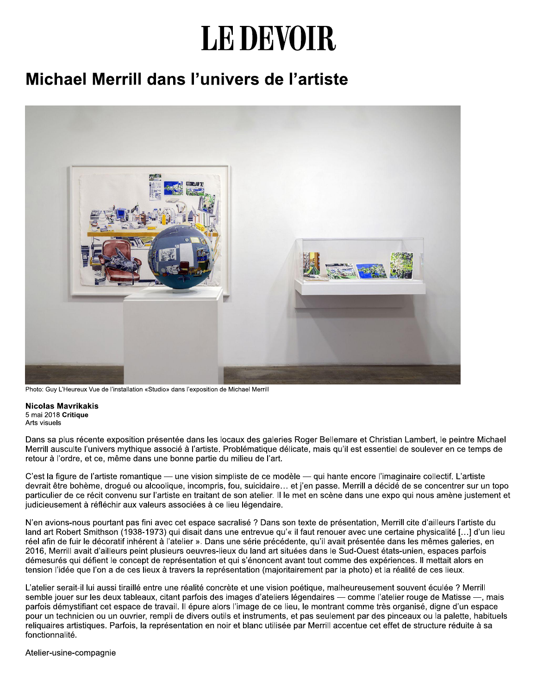## LE DEVOIR

## Michael Merrill dans l'univers de l'artiste



Photo: Guy L'Heureux Vue de l'installation «Studio» dans l'exposition de Michael Merrill

**Nicolas Mavrikakis** 5 mai 2018 Critique Arts visuels

Dans sa plus récente exposition présentée dans les locaux des galeries Roger Bellemare et Christian Lambert, le peintre Michael Merrill ausculte l'univers mythique associé à l'artiste. Problématique délicate, mais qu'il est essentiel de soulever en ce temps de retour à l'ordre, et ce, même dans une bonne partie du milieu de l'art.

C'est la figure de l'artiste romantique — une vision simpliste de ce modèle — qui hante encore l'imaginaire collectif. L'artiste devrait être bohème, droqué ou alcoolique, incompris, fou, suicidaire... et j'en passe. Merrill a décidé de se concentrer sur un topo particulier de ce récit convenu sur l'artiste en traitant de son atelier. Il le met en scène dans une expo qui nous amène justement et judicieusement à réfléchir aux valeurs associées à ce lieu légendaire.

N'en avions-nous pourtant pas fini avec cet espace sacralisé ? Dans son texte de présentation, Merrill cite d'ailleurs l'artiste du land art Robert Smithson (1938-1973) qui disait dans une entrevue qu'« il faut renouer avec une certaine physicalité [...] d'un lieu réel afin de fuir le décoratif inhérent à l'atelier ». Dans une série précédente, qu'il avait présentée dans les mêmes galeries, en 2016, Merrill avait d'ailleurs peint plusieurs oeuvres-lieux du land art situées dans le Sud-Ouest états-unien, espaces parfois démesurés qui défient le concept de représentation et qui s'énoncent avant tout comme des expériences. Il mettait alors en tension l'idée que l'on a de ces lieux à travers la représentation (majoritairement par la photo) et la réalité de ces lieux.

L'atelier serait-il lui aussi tiraillé entre une réalité concrète et une vision poétique, malheureusement souvent éculée ? Merrill semble jouer sur les deux tableaux, citant parfois des images d'ateliers légendaires - comme l'atelier rouge de Matisse -, mais parfois démystifiant cet espace de travail. Il épure alors l'image de ce lieu, le montrant comme très organisé, digne d'un espace pour un technicien ou un ouvrier, rempli de divers outils et instruments, et pas seulement par des pinceaux ou la palette, habituels reliquaires artistiques. Parfois, la représentation en noir et blanc utilisée par Merrill accentue cet effet de structure réduite à sa fonctionnalité.

Atelier-usine-compagnie